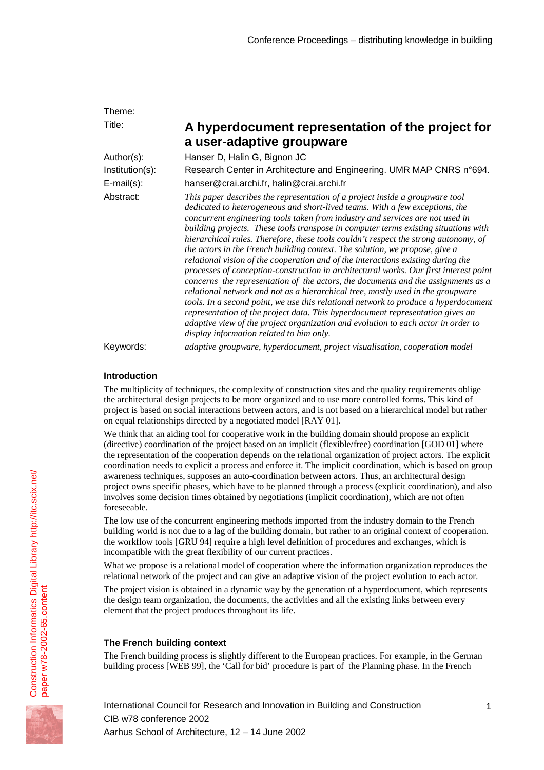| Theme:            |                                                                                                                                                                                                                                                                                                                                                                                                                                                                                                                                                                                                                                                                                                                                                                                                                                                                                                                                                                                                                                                                                                                                                                           |
|-------------------|---------------------------------------------------------------------------------------------------------------------------------------------------------------------------------------------------------------------------------------------------------------------------------------------------------------------------------------------------------------------------------------------------------------------------------------------------------------------------------------------------------------------------------------------------------------------------------------------------------------------------------------------------------------------------------------------------------------------------------------------------------------------------------------------------------------------------------------------------------------------------------------------------------------------------------------------------------------------------------------------------------------------------------------------------------------------------------------------------------------------------------------------------------------------------|
| Title:            | A hyperdocument representation of the project for<br>a user-adaptive groupware                                                                                                                                                                                                                                                                                                                                                                                                                                                                                                                                                                                                                                                                                                                                                                                                                                                                                                                                                                                                                                                                                            |
| Author(s):        | Hanser D, Halin G, Bignon JC                                                                                                                                                                                                                                                                                                                                                                                                                                                                                                                                                                                                                                                                                                                                                                                                                                                                                                                                                                                                                                                                                                                                              |
| Institution(s):   | Research Center in Architecture and Engineering. UMR MAP CNRS n°694.                                                                                                                                                                                                                                                                                                                                                                                                                                                                                                                                                                                                                                                                                                                                                                                                                                                                                                                                                                                                                                                                                                      |
| $E$ -mail $(s)$ : | hanser@crai.archi.fr, halin@crai.archi.fr                                                                                                                                                                                                                                                                                                                                                                                                                                                                                                                                                                                                                                                                                                                                                                                                                                                                                                                                                                                                                                                                                                                                 |
| Abstract:         | This paper describes the representation of a project inside a groupware tool<br>dedicated to heterogeneous and short-lived teams. With a few exceptions, the<br>concurrent engineering tools taken from industry and services are not used in<br>building projects. These tools transpose in computer terms existing situations with<br>hierarchical rules. Therefore, these tools couldn't respect the strong autonomy, of<br>the actors in the French building context. The solution, we propose, give a<br>relational vision of the cooperation and of the interactions existing during the<br>processes of conception-construction in architectural works. Our first interest point<br>concerns the representation of the actors, the documents and the assignments as a<br>relational network and not as a hierarchical tree, mostly used in the groupware<br>tools. In a second point, we use this relational network to produce a hyperdocument<br>representation of the project data. This hyperdocument representation gives an<br>adaptive view of the project organization and evolution to each actor in order to<br>display information related to him only. |
| Keywords:         | adaptive groupware, hyperdocument, project visualisation, cooperation model                                                                                                                                                                                                                                                                                                                                                                                                                                                                                                                                                                                                                                                                                                                                                                                                                                                                                                                                                                                                                                                                                               |

# **Introduction**

The multiplicity of techniques, the complexity of construction sites and the quality requirements oblige the architectural design projects to be more organized and to use more controlled forms. This kind of project is based on social interactions between actors, and is not based on a hierarchical model but rather on equal relationships directed by a negotiated model [RAY 01].

We think that an aiding tool for cooperative work in the building domain should propose an explicit (directive) coordination of the project based on an implicit (flexible/free) coordination [GOD 01] where the representation of the cooperation depends on the relational organization of project actors. The explicit coordination needs to explicit a process and enforce it. The implicit coordination, which is based on group awareness techniques, supposes an auto-coordination between actors. Thus, an architectural design project owns specific phases, which have to be planned through a process (explicit coordination), and also involves some decision times obtained by negotiations (implicit coordination), which are not often foreseeable.

The low use of the concurrent engineering methods imported from the industry domain to the French building world is not due to a lag of the building domain, but rather to an original context of cooperation. the workflow tools [GRU 94] require a high level definition of procedures and exchanges, which is incompatible with the great flexibility of our current practices.

What we propose is a relational model of cooperation where the information organization reproduces the relational network of the project and can give an adaptive vision of the project evolution to each actor.

The project vision is obtained in a dynamic way by the generation of a hyperdocument, which represents the design team organization, the documents, the activities and all the existing links between every element that the project produces throughout its life.

# **The French building context**

The French building process is slightly different to the European practices. For example, in the German building process [WEB 99], the 'Call for bid' procedure is part of the Planning phase. In the French

1

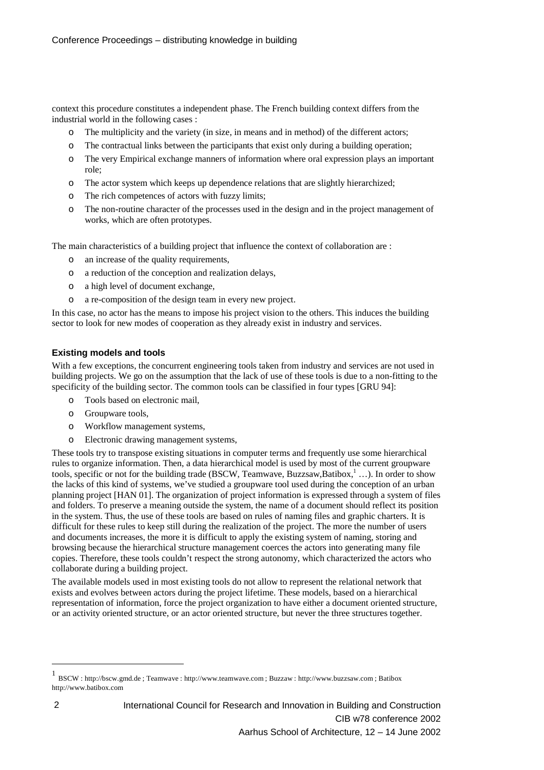context this procedure constitutes a independent phase. The French building context differs from the industrial world in the following cases :

- o The multiplicity and the variety (in size, in means and in method) of the different actors;
- o The contractual links between the participants that exist only during a building operation;
- o The very Empirical exchange manners of information where oral expression plays an important role;
- o The actor system which keeps up dependence relations that are slightly hierarchized;
- o The rich competences of actors with fuzzy limits;
- o The non-routine character of the processes used in the design and in the project management of works, which are often prototypes.

The main characteristics of a building project that influence the context of collaboration are :

- o an increase of the quality requirements,
- o a reduction of the conception and realization delays,
- o a high level of document exchange,
- o a re-composition of the design team in every new project.

In this case, no actor has the means to impose his project vision to the others. This induces the building sector to look for new modes of cooperation as they already exist in industry and services.

# **Existing models and tools**

With a few exceptions, the concurrent engineering tools taken from industry and services are not used in building projects. We go on the assumption that the lack of use of these tools is due to a non-fitting to the specificity of the building sector. The common tools can be classified in four types [GRU 94]:

- o Tools based on electronic mail,
- o Groupware tools,
- o Workflow management systems,
- o Electronic drawing management systems,

These tools try to transpose existing situations in computer terms and frequently use some hierarchical rules to organize information. Then, a data hierarchical model is used by most of the current groupware tools, specific or not for the building trade (BSCW, Teamwave, Buzzsaw,Batibox, 1...). In order to show the lacks of this kind of systems, we've studied a groupware tool used during the conception of an urban planning project [HAN 01]. The organization of project information is expressed through a system of files and folders. To preserve a meaning outside the system, the name of a document should reflect its position in the system. Thus, the use of these tools are based on rules of naming files and graphic charters. It is difficult for these rules to keep still during the realization of the project. The more the number of users and documents increases, the more it is difficult to apply the existing system of naming, storing and browsing because the hierarchical structure management coerces the actors into generating many file copies. Therefore, these tools couldn't respect the strong autonomy, which characterized the actors who collaborate during a building project.

The available models used in most existing tools do not allow to represent the relational network that exists and evolves between actors during the project lifetime. These models, based on a hierarchical representation of information, force the project organization to have either a document oriented structure, or an activity oriented structure, or an actor oriented structure, but never the three structures together.

l

<sup>1</sup> BSCW : http://bscw.gmd.de ; Teamwave : http://www.teamwave.com ; Buzzaw : http://www.buzzsaw.com ; Batibox http://www.batibox.com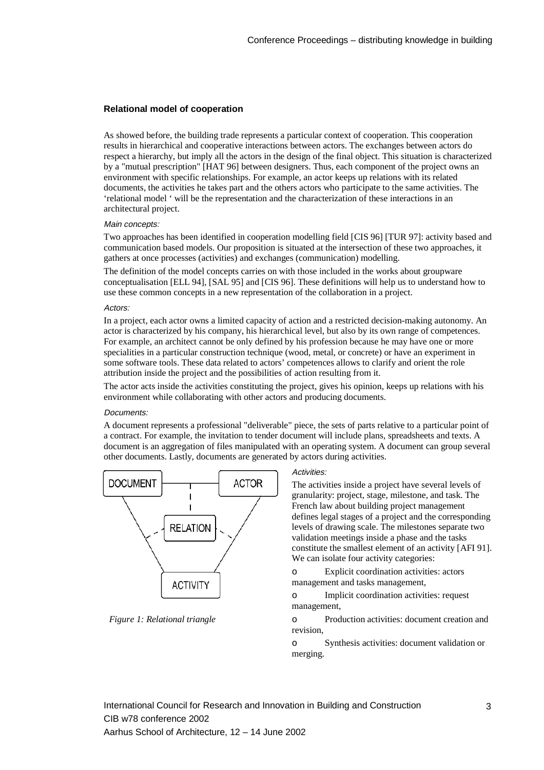## **Relational model of cooperation**

As showed before, the building trade represents a particular context of cooperation. This cooperation results in hierarchical and cooperative interactions between actors. The exchanges between actors do respect a hierarchy, but imply all the actors in the design of the final object. This situation is characterized by a "mutual prescription" [HAT 96] between designers. Thus, each component of the project owns an environment with specific relationships. For example, an actor keeps up relations with its related documents, the activities he takes part and the others actors who participate to the same activities. The 'relational model ' will be the representation and the characterization of these interactions in an architectural project.

### Main concepts:

Two approaches has been identified in cooperation modelling field [CIS 96] [TUR 97]: activity based and communication based models. Our proposition is situated at the intersection of these two approaches, it gathers at once processes (activities) and exchanges (communication) modelling.

The definition of the model concepts carries on with those included in the works about groupware conceptualisation [ELL 94], [SAL 95] and [CIS 96]. These definitions will help us to understand how to use these common concepts in a new representation of the collaboration in a project.

### Actors:

In a project, each actor owns a limited capacity of action and a restricted decision-making autonomy. An actor is characterized by his company, his hierarchical level, but also by its own range of competences. For example, an architect cannot be only defined by his profession because he may have one or more specialities in a particular construction technique (wood, metal, or concrete) or have an experiment in some software tools. These data related to actors' competences allows to clarify and orient the role attribution inside the project and the possibilities of action resulting from it.

The actor acts inside the activities constituting the project, gives his opinion, keeps up relations with his environment while collaborating with other actors and producing documents.

#### Documents:

A document represents a professional "deliverable" piece, the sets of parts relative to a particular point of a contract. For example, the invitation to tender document will include plans, spreadsheets and texts. A document is an aggregation of files manipulated with an operating system. A document can group several other documents. Lastly, documents are generated by actors during activities.



*Figure 1: Relational triangle*

#### Activities:

The activities inside a project have several levels of granularity: project, stage, milestone, and task. The French law about building project management defines legal stages of a project and the corresponding levels of drawing scale. The milestones separate two validation meetings inside a phase and the tasks constitute the smallest element of an activity [AFI 91]. We can isolate four activity categories:

o Explicit coordination activities: actors management and tasks management,

o Implicit coordination activities: request management,

o Production activities: document creation and revision,

o Synthesis activities: document validation or merging.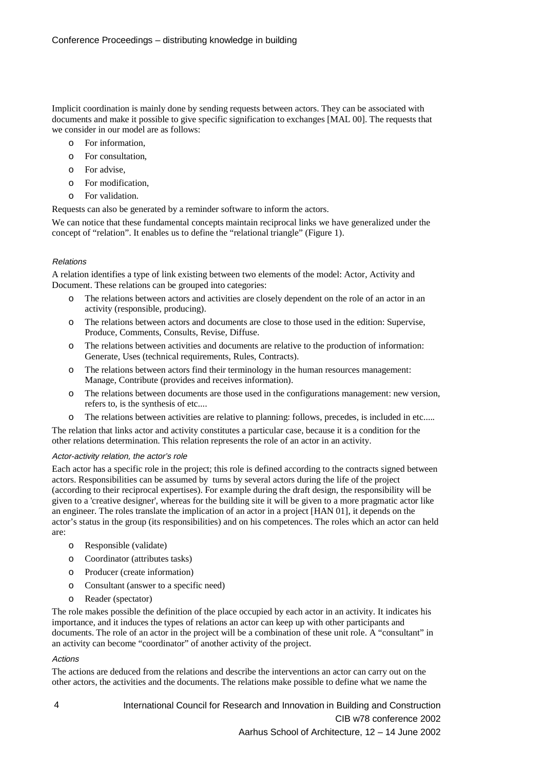Implicit coordination is mainly done by sending requests between actors. They can be associated with documents and make it possible to give specific signification to exchanges [MAL 00]. The requests that we consider in our model are as follows:

- o For information,
- o For consultation,
- o For advise,
- o For modification,
- o For validation.

Requests can also be generated by a reminder software to inform the actors.

We can notice that these fundamental concepts maintain reciprocal links we have generalized under the concept of "relation". It enables us to define the "relational triangle" (Figure 1).

### Relations

A relation identifies a type of link existing between two elements of the model: Actor, Activity and Document. These relations can be grouped into categories:

- o The relations between actors and activities are closely dependent on the role of an actor in an activity (responsible, producing).
- o The relations between actors and documents are close to those used in the edition: Supervise, Produce, Comments, Consults, Revise, Diffuse.
- o The relations between activities and documents are relative to the production of information: Generate, Uses (technical requirements, Rules, Contracts).
- o The relations between actors find their terminology in the human resources management: Manage, Contribute (provides and receives information).
- o The relations between documents are those used in the configurations management: new version, refers to, is the synthesis of etc....
- o The relations between activities are relative to planning: follows, precedes, is included in etc.....

The relation that links actor and activity constitutes a particular case, because it is a condition for the other relations determination. This relation represents the role of an actor in an activity.

#### Actor-activity relation, the actor's role

Each actor has a specific role in the project; this role is defined according to the contracts signed between actors. Responsibilities can be assumed by turns by several actors during the life of the project (according to their reciprocal expertises). For example during the draft design, the responsibility will be given to a 'creative designer', whereas for the building site it will be given to a more pragmatic actor like an engineer. The roles translate the implication of an actor in a project [HAN 01], it depends on the actor's status in the group (its responsibilities) and on his competences. The roles which an actor can held are:

- o Responsible (validate)
- o Coordinator (attributes tasks)
- o Producer (create information)
- o Consultant (answer to a specific need)
- o Reader (spectator)

The role makes possible the definition of the place occupied by each actor in an activity. It indicates his importance, and it induces the types of relations an actor can keep up with other participants and documents. The role of an actor in the project will be a combination of these unit role. A "consultant" in an activity can become "coordinator" of another activity of the project.

#### Actions

The actions are deduced from the relations and describe the interventions an actor can carry out on the other actors, the activities and the documents. The relations make possible to define what we name the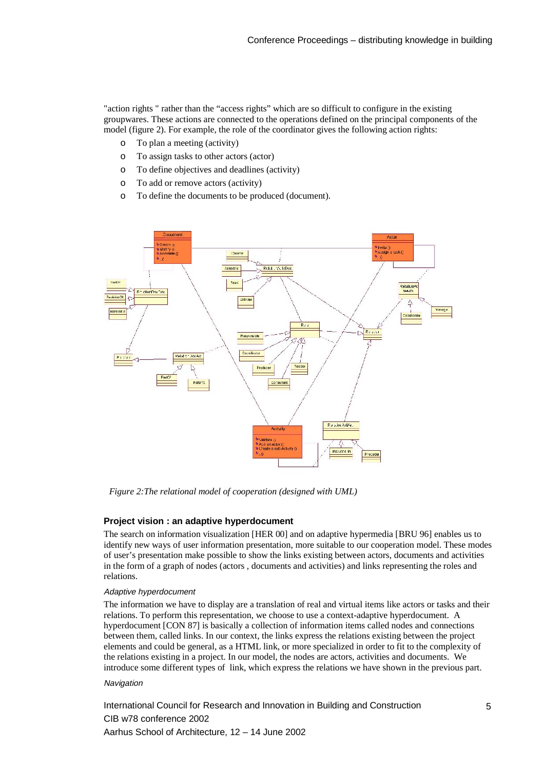"action rights " rather than the "access rights" which are so difficult to configure in the existing groupwares. These actions are connected to the operations defined on the principal components of the model (figure 2). For example, the role of the coordinator gives the following action rights:

- o To plan a meeting (activity)
- o To assign tasks to other actors (actor)
- o To define objectives and deadlines (activity)
- o To add or remove actors (activity)
- o To define the documents to be produced (document).



*Figure 2:The relational model of cooperation (designed with UML)*

### **Project vision : an adaptive hyperdocument**

The search on information visualization [HER 00] and on adaptive hypermedia [BRU 96] enables us to identify new ways of user information presentation, more suitable to our cooperation model. These modes of user's presentation make possible to show the links existing between actors, documents and activities in the form of a graph of nodes (actors , documents and activities) and links representing the roles and relations.

#### Adaptive hyperdocument

The information we have to display are a translation of real and virtual items like actors or tasks and their relations. To perform this representation, we choose to use a context-adaptive hyperdocument. A hyperdocument [CON 87] is basically a collection of information items called nodes and connections between them, called links. In our context, the links express the relations existing between the project elements and could be general, as a HTML link, or more specialized in order to fit to the complexity of the relations existing in a project. In our model, the nodes are actors, activities and documents. We introduce some different types of link, which express the relations we have shown in the previous part.

#### **Navigation**

International Council for Research and Innovation in Building and Construction CIB w78 conference 2002 Aarhus School of Architecture, 12 – 14 June 2002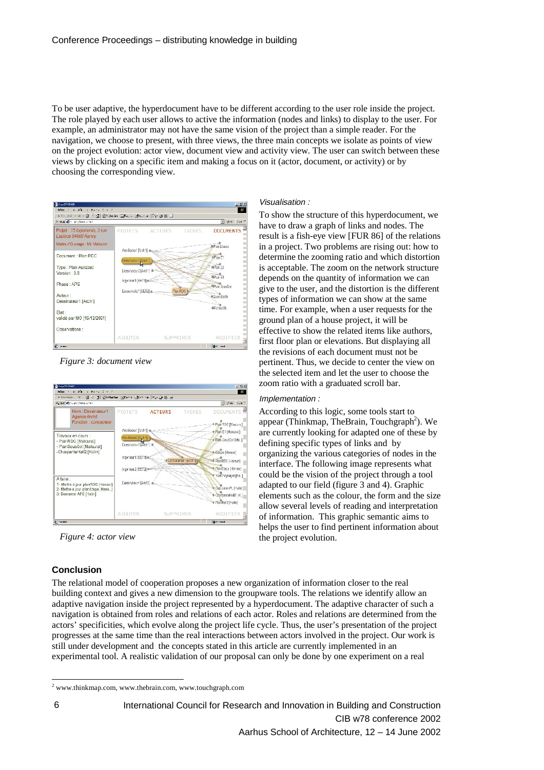To be user adaptive, the hyperdocument have to be different according to the user role inside the project. The role played by each user allows to active the information (nodes and links) to display to the user. For example, an administrator may not have the same vision of the project than a simple reader. For the navigation, we choose to present, with three views, the three main concepts we isolate as points of view on the project evolution: actor view, document view and activity view. The user can switch between these views by clicking on a specific item and making a focus on it (actor, document, or activity) or by choosing the corresponding view.



*Figure 3: document view*



*Figure 4: actor view*

# **Conclusion**

## Visualisation :

To show the structure of this hyperdocument, we have to draw a graph of links and nodes. The result is a fish-eye view [FUR 86] of the relations in a project. Two problems are rising out: how to determine the zooming ratio and which distortion is acceptable. The zoom on the network structure depends on the quantity of information we can give to the user, and the distortion is the different types of information we can show at the same time. For example, when a user requests for the ground plan of a house project, it will be effective to show the related items like authors, first floor plan or elevations. But displaying all the revisions of each document must not be pertinent. Thus, we decide to center the view on the selected item and let the user to choose the zoom ratio with a graduated scroll bar.

### Implementation :

According to this logic, some tools start to appear (Thinkmap, TheBrain, Touchgraph<sup>2</sup>). We are currently looking for adapted one of these by defining specific types of links and by organizing the various categories of nodes in the interface. The following image represents what could be the vision of the project through a tool adapted to our field (figure 3 and 4). Graphic elements such as the colour, the form and the size allow several levels of reading and interpretation of information. This graphic semantic aims to helps the user to find pertinent information about the project evolution.

The relational model of cooperation proposes a new organization of information closer to the real building context and gives a new dimension to the groupware tools. The relations we identify allow an adaptive navigation inside the project represented by a hyperdocument. The adaptive character of such a navigation is obtained from roles and relations of each actor. Roles and relations are determined from the actors' specificities, which evolve along the project life cycle. Thus, the user's presentation of the project progresses at the same time than the real interactions between actors involved in the project. Our work is still under development and the concepts stated in this article are currently implemented in an experimental tool. A realistic validation of our proposal can only be done by one experiment on a real

<sup>-</sup><sup>2</sup> www.thinkmap.com, www.thebrain.com, www.touchgraph.com